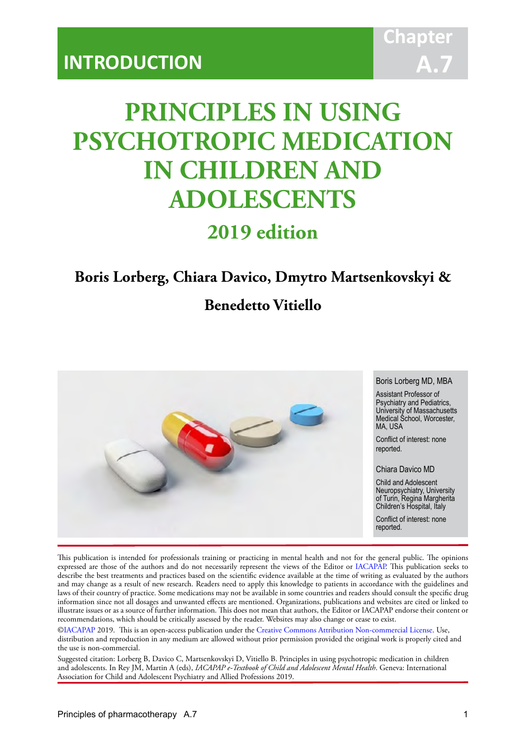# **PRINCIPLES IN USING PSYCHOTROPIC MEDICATION IN CHILDREN AND ADOLESCENTS**

IACAPAP Textbook of Child and Adolescent Mental Health

# **2019 edition**

# **Boris Lorberg, Chiara Davico, Dmytro Martsenkovskyi &**

# **Benedetto Vitiello**



This publication is intended for professionals training or practicing in mental health and not for the general public. The opinions expressed are those of the authors and do not necessarily represent the views of the Editor or IACAPAP. This publication seeks to describe the best treatments and practices based on the scientific evidence available at the time of writing as evaluated by the authors and may change as a result of new research. Readers need to apply this knowledge to patients in accordance with the guidelines and laws of their country of practice. Some medications may not be available in some countries and readers should consult the specific drug information since not all dosages and unwanted effects are mentioned. Organizations, publications and websites are cited or linked to illustrate issues or as a source of further information. This does not mean that authors, the Editor or IACAPAP endorse their content or recommendations, which should be critically assessed by the reader. Websites may also change or cease to exist.

[©IACAPAP](http://iacapap.org) 2019. This is an open-access publication under the [Creative Commons Attribution Non-commercial License](http://creativecommons.org). Use, distribution and reproduction in any medium are allowed without prior permission provided the original work is properly cited and the use is non-commercial.

Suggested citation: Lorberg B, Davico C, Martsenkovskyi D, Vitiello B. Principles in using psychotropic medication in children and adolescents. In Rey JM, Martin A (eds), *IACAPAP e-Textbook of Child and Adolescent Mental Health*. Geneva: International Association for Child and Adolescent Psychiatry and Allied Professions 2019.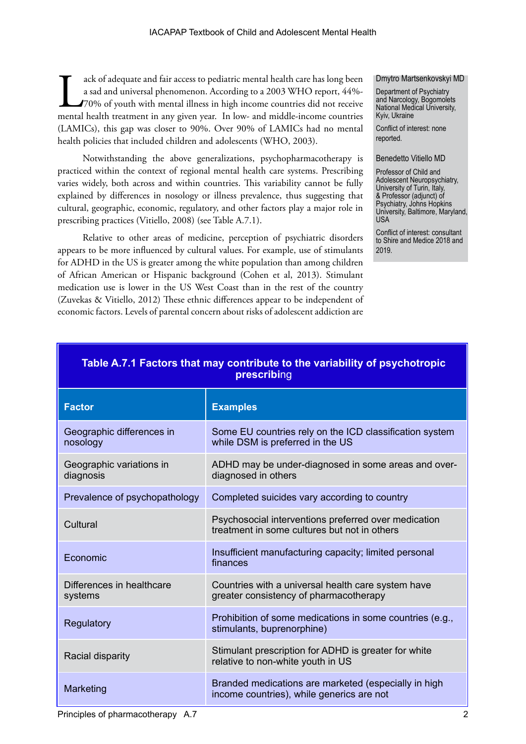ack of adequate and fair access to pediatric mental health care has long been a sad and universal phenomenon. According to a 2003 WHO report, 44%-70% of youth with mental illness in high income countries did not receive me a sad and universal phenomenon. According to a 2003 WHO report, 44%- 70% of youth with mental illness in high income countries did not receive (LAMICs), this gap was closer to 90%. Over 90% of LAMICs had no mental health policies that included children and adolescents (WHO, 2003).

Notwithstanding the above generalizations, psychopharmacotherapy is practiced within the context of regional mental health care systems. Prescribing varies widely, both across and within countries. This variability cannot be fully explained by differences in nosology or illness prevalence, thus suggesting that cultural, geographic, economic, regulatory, and other factors play a major role in prescribing practices (Vitiello, 2008) (see Table A.7.1).

Relative to other areas of medicine, perception of psychiatric disorders appears to be more influenced by cultural values. For example, use of stimulants for ADHD in the US is greater among the white population than among children of African American or Hispanic background (Cohen et al, 2013). Stimulant medication use is lower in the US West Coast than in the rest of the country (Zuvekas & Vitiello, 2012) These ethnic differences appear to be independent of economic factors. Levels of parental concern about risks of adolescent addiction are

#### Dmytro Martsenkovskyi MD

Department of Psychiatry and Narcology, Bogomolets National Medical University, Kyiv, Ukraine

Conflict of interest: none reported.

#### Benedetto Vitiello MD

Professor of Child and Adolescent Neuropsychiatry, University of Turin, Italy, & Professor (adjunct) of Psychiatry, Johns Hopkins University, Baltimore, Maryland, USA

Conflict of interest: consultant to Shire and Medice 2018 and 2019.

| Table A.7.1 Factors that may contribute to the variability of psychotropic<br>prescribing |                                                                                                      |  |
|-------------------------------------------------------------------------------------------|------------------------------------------------------------------------------------------------------|--|
| <b>Factor</b>                                                                             | <b>Examples</b>                                                                                      |  |
| Geographic differences in<br>nosology                                                     | Some EU countries rely on the ICD classification system<br>while DSM is preferred in the US          |  |
| Geographic variations in<br>diagnosis                                                     | ADHD may be under-diagnosed in some areas and over-<br>diagnosed in others                           |  |
| Prevalence of psychopathology                                                             | Completed suicides vary according to country                                                         |  |
| Cultural                                                                                  | Psychosocial interventions preferred over medication<br>treatment in some cultures but not in others |  |
| Economic                                                                                  | Insufficient manufacturing capacity; limited personal<br>finances                                    |  |
| Differences in healthcare<br>systems                                                      | Countries with a universal health care system have<br>greater consistency of pharmacotherapy         |  |
| Regulatory                                                                                | Prohibition of some medications in some countries (e.g.,<br>stimulants, buprenorphine)               |  |
| Racial disparity                                                                          | Stimulant prescription for ADHD is greater for white<br>relative to non-white youth in US            |  |
| Marketing                                                                                 | Branded medications are marketed (especially in high<br>income countries), while generics are not    |  |

# **Table A.7.1 Factors that may contribute to the variability of psychotropic**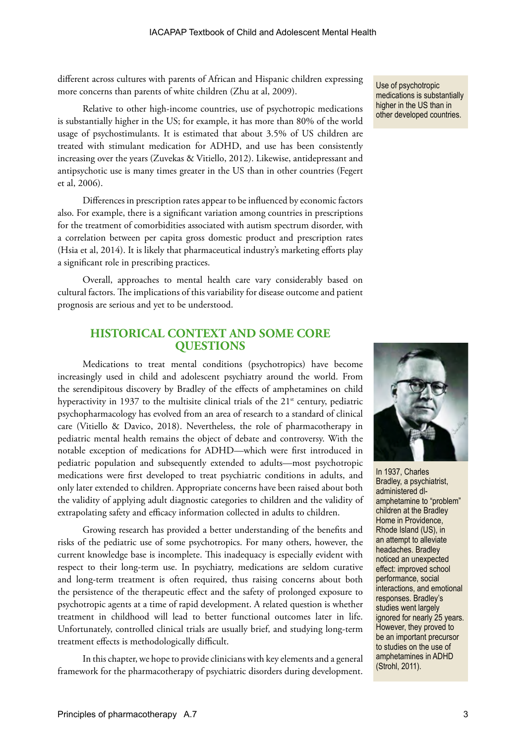different across cultures with parents of African and Hispanic children expressing more concerns than parents of white children (Zhu at al, 2009).

Relative to other high-income countries, use of psychotropic medications is substantially higher in the US; for example, it has more than 80% of the world usage of psychostimulants. It is estimated that about 3.5% of US children are treated with stimulant medication for ADHD, and use has been consistently increasing over the years (Zuvekas & Vitiello, 2012). Likewise, antidepressant and antipsychotic use is many times greater in the US than in other countries (Fegert et al, 2006).

Differences in prescription rates appear to be influenced by economic factors also. For example, there is a significant variation among countries in prescriptions for the treatment of comorbidities associated with autism spectrum disorder, with a correlation between per capita gross domestic product and prescription rates (Hsia et al, 2014). It is likely that pharmaceutical industry's marketing efforts play a significant role in prescribing practices.

Overall, approaches to mental health care vary considerably based on cultural factors. The implications of this variability for disease outcome and patient prognosis are serious and yet to be understood.

# **HISTORICAL CONTEXT AND SOME CORE QUESTIONS**

Medications to treat mental conditions (psychotropics) have become increasingly used in child and adolescent psychiatry around the world. From the serendipitous discovery by Bradley of the effects of amphetamines on child hyperactivity in 1937 to the multisite clinical trials of the  $21<sup>st</sup>$  century, pediatric psychopharmacology has evolved from an area of research to a standard of clinical care (Vitiello & Davico, 2018). Nevertheless, the role of pharmacotherapy in pediatric mental health remains the object of debate and controversy. With the notable exception of medications for ADHD—which were first introduced in pediatric population and subsequently extended to adults—most psychotropic medications were first developed to treat psychiatric conditions in adults, and only later extended to children. Appropriate concerns have been raised about both the validity of applying adult diagnostic categories to children and the validity of extrapolating safety and efficacy information collected in adults to children.

Growing research has provided a better understanding of the benefits and risks of the pediatric use of some psychotropics. For many others, however, the current knowledge base is incomplete. This inadequacy is especially evident with respect to their long-term use. In psychiatry, medications are seldom curative and long-term treatment is often required, thus raising concerns about both the persistence of the therapeutic effect and the safety of prolonged exposure to psychotropic agents at a time of rapid development. A related question is whether treatment in childhood will lead to better functional outcomes later in life. Unfortunately, controlled clinical trials are usually brief, and studying long-term treatment effects is methodologically difficult.

In this chapter, we hope to provide clinicians with key elements and a general framework for the pharmacotherapy of psychiatric disorders during development. Use of psychotropic medications is substantially higher in the US than in other developed countries.



In 1937, Charles Bradley, a psychiatrist, administered dlamphetamine to "problem" children at the Bradley Home in Providence, Rhode Island (US), in an attempt to alleviate headaches. Bradley noticed an unexpected effect: improved school performance, social interactions, and emotional responses. Bradley's studies went largely ignored for nearly 25 years. However, they proved to be an important precursor to studies on the use of amphetamines in ADHD (Strohl, 2011).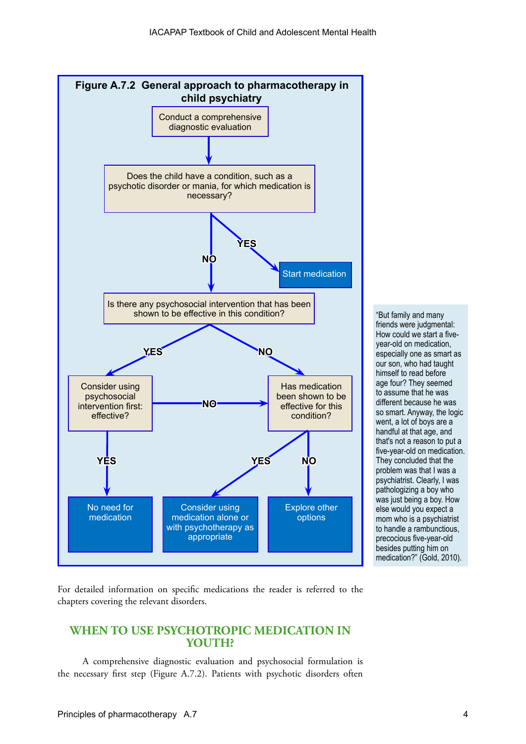

"But family and many friends were judgmental: How could we start a fiveyear-old on medication, especially one as smart as our son, who had taught himself to read before age four? They seemed to assume that he was different because he was so smart. Anyway, the logic went, a lot of boys are a handful at that age, and that's not a reason to put a five-year-old on medication. They concluded that the problem was that I was a psychiatrist. Clearly, I was pathologizing a boy who was just being a boy. How else would you expect a mom who is a psychiatrist to handle a rambunctious, precocious five-year-old besides putting him on medication?" (Gold, 2010).

For detailed information on specific medications the reader is referred to the chapters covering the relevant disorders.

# **WHEN TO USE PSYCHOTROPIC MEDICATION IN YOUTH?**

A comprehensive diagnostic evaluation and psychosocial formulation is the necessary first step (Figure A.7.2). Patients with psychotic disorders often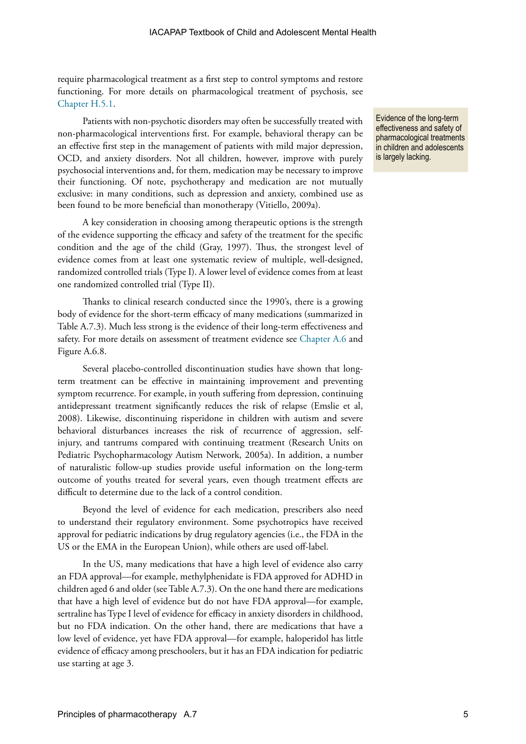require pharmacological treatment as a first step to control symptoms and restore functioning. For more details on pharmacological treatment of psychosis, see [Chapter H.5.1](https://iacapap.org/wp-content/uploads/H.5.1-Antipsychotics-2016-amended.pdf).

Patients with non-psychotic disorders may often be successfully treated with non-pharmacological interventions first. For example, behavioral therapy can be an effective first step in the management of patients with mild major depression, OCD, and anxiety disorders. Not all children, however, improve with purely psychosocial interventions and, for them, medication may be necessary to improve their functioning. Of note, psychotherapy and medication are not mutually exclusive: in many conditions, such as depression and anxiety, combined use as been found to be more beneficial than monotherapy (Vitiello, 2009a).

A key consideration in choosing among therapeutic options is the strength of the evidence supporting the efficacy and safety of the treatment for the specific condition and the age of the child (Gray, 1997). Thus, the strongest level of evidence comes from at least one systematic review of multiple, well-designed, randomized controlled trials (Type I). A lower level of evidence comes from at least one randomized controlled trial (Type II).

Thanks to clinical research conducted since the 1990's, there is a growing body of evidence for the short-term efficacy of many medications (summarized in Table A.7.3). Much less strong is the evidence of their long-term effectiveness and safety. For more details on assessment of treatment evidence see [Chapter A.6](https://iacapap.org/wp-content/uploads/A.6-EVIDENCE-BASED-PRACTICE-072012.pdf) and Figure A.6.8.

Several placebo-controlled discontinuation studies have shown that longterm treatment can be effective in maintaining improvement and preventing symptom recurrence. For example, in youth suffering from depression, continuing antidepressant treatment significantly reduces the risk of relapse (Emslie et al, 2008). Likewise, discontinuing risperidone in children with autism and severe behavioral disturbances increases the risk of recurrence of aggression, selfinjury, and tantrums compared with continuing treatment (Research Units on Pediatric Psychopharmacology Autism Network, 2005a). In addition, a number of naturalistic follow-up studies provide useful information on the long-term outcome of youths treated for several years, even though treatment effects are difficult to determine due to the lack of a control condition.

Beyond the level of evidence for each medication, prescribers also need to understand their regulatory environment. Some psychotropics have received approval for pediatric indications by drug regulatory agencies (i.e., the FDA in the US or the EMA in the European Union), while others are used off-label.

In the US, many medications that have a high level of evidence also carry an FDA approval—for example, methylphenidate is FDA approved for ADHD in children aged 6 and older (see Table A.7.3). On the one hand there are medications that have a high level of evidence but do not have FDA approval—for example, sertraline has Type I level of evidence for efficacy in anxiety disorders in childhood, but no FDA indication. On the other hand, there are medications that have a low level of evidence, yet have FDA approval—for example, haloperidol has little evidence of efficacy among preschoolers, but it has an FDA indication for pediatric use starting at age 3.

Evidence of the long-term effectiveness and safety of pharmacological treatments in children and adolescents is largely lacking.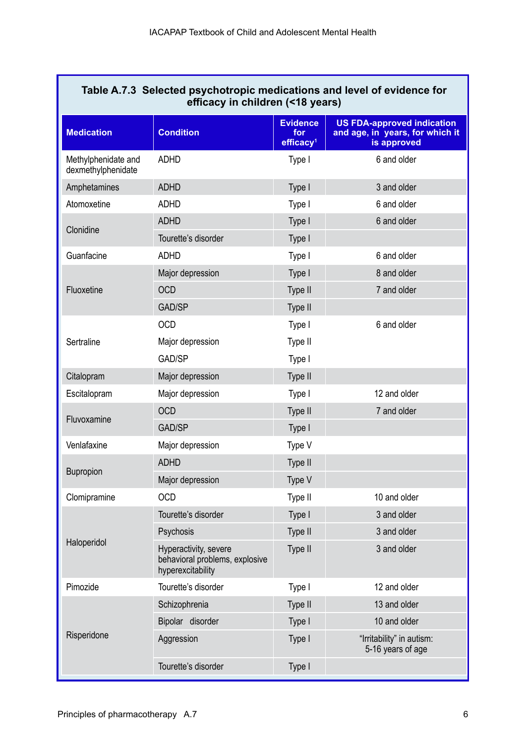| Table A.7.3 Selected psychotropic medications and level of evidence for<br>efficacy in children (<18 years) |                                                                              |                                                 |                                                                                     |
|-------------------------------------------------------------------------------------------------------------|------------------------------------------------------------------------------|-------------------------------------------------|-------------------------------------------------------------------------------------|
| <b>Medication</b>                                                                                           | <b>Condition</b>                                                             | <b>Evidence</b><br>for<br>efficacy <sup>1</sup> | <b>US FDA-approved indication</b><br>and age, in years, for which it<br>is approved |
| Methylphenidate and<br>dexmethylphenidate                                                                   | <b>ADHD</b>                                                                  | Type I                                          | 6 and older                                                                         |
| Amphetamines                                                                                                | <b>ADHD</b>                                                                  | Type I                                          | 3 and older                                                                         |
| Atomoxetine                                                                                                 | <b>ADHD</b>                                                                  | Type I                                          | 6 and older                                                                         |
| Clonidine                                                                                                   | <b>ADHD</b>                                                                  | Type I                                          | 6 and older                                                                         |
|                                                                                                             | Tourette's disorder                                                          | Type I                                          |                                                                                     |
| Guanfacine                                                                                                  | <b>ADHD</b>                                                                  | Type I                                          | 6 and older                                                                         |
|                                                                                                             | Major depression                                                             | Type I                                          | 8 and older                                                                         |
| Fluoxetine                                                                                                  | <b>OCD</b>                                                                   | Type II                                         | 7 and older                                                                         |
|                                                                                                             | GAD/SP                                                                       | Type II                                         |                                                                                     |
| Sertraline                                                                                                  | <b>OCD</b>                                                                   | Type I                                          | 6 and older                                                                         |
|                                                                                                             | Major depression                                                             | Type II                                         |                                                                                     |
|                                                                                                             | GAD/SP                                                                       | Type I                                          |                                                                                     |
| Citalopram                                                                                                  | Major depression                                                             | Type II                                         |                                                                                     |
| Escitalopram                                                                                                | Major depression                                                             | Type I                                          | 12 and older                                                                        |
| Fluvoxamine                                                                                                 | <b>OCD</b>                                                                   | Type II                                         | 7 and older                                                                         |
|                                                                                                             | GAD/SP                                                                       | Type I                                          |                                                                                     |
| Venlafaxine                                                                                                 | Major depression                                                             | Type V                                          |                                                                                     |
| <b>Bupropion</b>                                                                                            | <b>ADHD</b>                                                                  | Type II                                         |                                                                                     |
|                                                                                                             | Major depression                                                             | Type V                                          |                                                                                     |
| Clomipramine                                                                                                | <b>OCD</b>                                                                   | Type II                                         | 10 and older                                                                        |
| Haloperidol                                                                                                 | Tourette's disorder                                                          | Type I                                          | 3 and older                                                                         |
|                                                                                                             | Psychosis                                                                    | Type II                                         | 3 and older                                                                         |
|                                                                                                             | Hyperactivity, severe<br>behavioral problems, explosive<br>hyperexcitability | Type II                                         | 3 and older                                                                         |
| Pimozide                                                                                                    | Tourette's disorder                                                          | Type I                                          | 12 and older                                                                        |
|                                                                                                             | Schizophrenia                                                                | Type II                                         | 13 and older                                                                        |
| Risperidone                                                                                                 | Bipolar disorder                                                             | Type I                                          | 10 and older                                                                        |
|                                                                                                             | Aggression                                                                   | Type I                                          | "Irritability" in autism:<br>5-16 years of age                                      |
|                                                                                                             | Tourette's disorder                                                          | Type I                                          |                                                                                     |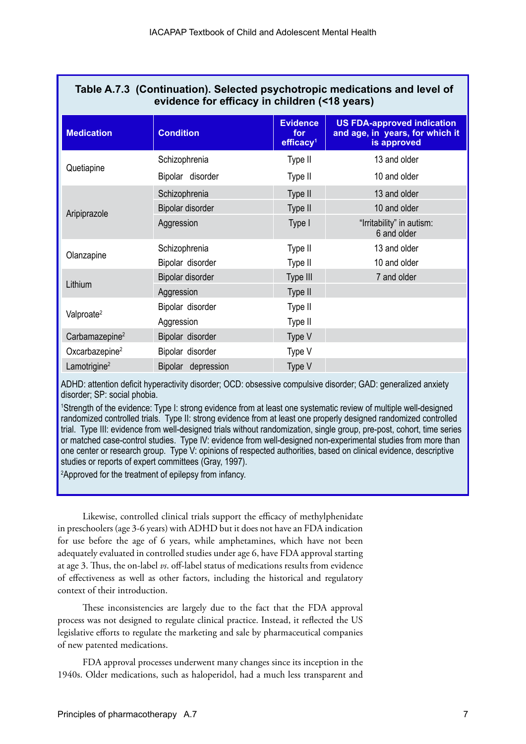| Table A.7.3 (Continuation). Selected psychotropic medications and level of<br>evidence for efficacy in children (<18 years) |                    |                                                 |                                                                                     |
|-----------------------------------------------------------------------------------------------------------------------------|--------------------|-------------------------------------------------|-------------------------------------------------------------------------------------|
| <b>Medication</b>                                                                                                           | <b>Condition</b>   | <b>Evidence</b><br>for<br>efficacy <sup>1</sup> | <b>US FDA-approved indication</b><br>and age, in years, for which it<br>is approved |
| Quetiapine                                                                                                                  | Schizophrenia      | Type II                                         | 13 and older                                                                        |
|                                                                                                                             | Bipolar disorder   | Type II                                         | 10 and older                                                                        |
| Aripiprazole                                                                                                                | Schizophrenia      | Type II                                         | 13 and older                                                                        |
|                                                                                                                             | Bipolar disorder   | Type II                                         | 10 and older                                                                        |
|                                                                                                                             | Aggression         | Type I                                          | "Irritability" in autism:<br>6 and older                                            |
| Olanzapine                                                                                                                  | Schizophrenia      | Type II                                         | 13 and older                                                                        |
|                                                                                                                             | Bipolar disorder   | Type II                                         | 10 and older                                                                        |
| Lithium                                                                                                                     | Bipolar disorder   | Type III                                        | 7 and older                                                                         |
|                                                                                                                             | Aggression         | Type II                                         |                                                                                     |
| Valproate <sup>2</sup>                                                                                                      | Bipolar disorder   | Type II                                         |                                                                                     |
|                                                                                                                             | Aggression         | Type II                                         |                                                                                     |
| Carbamazepine <sup>2</sup>                                                                                                  | Bipolar disorder   | Type V                                          |                                                                                     |
| Oxcarbazepine <sup>2</sup>                                                                                                  | Bipolar disorder   | Type V                                          |                                                                                     |
| Lamotrigine <sup>2</sup>                                                                                                    | Bipolar depression | Type V                                          |                                                                                     |

ADHD: attention deficit hyperactivity disorder; OCD: obsessive compulsive disorder; GAD: generalized anxiety disorder; SP: social phobia.

1 Strength of the evidence: Type I: strong evidence from at least one systematic review of multiple well-designed randomized controlled trials. Type II: strong evidence from at least one properly designed randomized controlled trial. Type III: evidence from well-designed trials without randomization, single group, pre-post, cohort, time series or matched case-control studies. Type IV: evidence from well-designed non-experimental studies from more than one center or research group. Type V: opinions of respected authorities, based on clinical evidence, descriptive studies or reports of expert committees (Gray, 1997).

2 Approved for the treatment of epilepsy from infancy.

Likewise, controlled clinical trials support the efficacy of methylphenidate in preschoolers (age 3-6 years) with ADHD but it does not have an FDA indication for use before the age of 6 years, while amphetamines, which have not been adequately evaluated in controlled studies under age 6, have FDA approval starting at age 3. Thus, the on-label *vs*. off-label status of medications results from evidence of effectiveness as well as other factors, including the historical and regulatory context of their introduction.

These inconsistencies are largely due to the fact that the FDA approval process was not designed to regulate clinical practice. Instead, it reflected the US legislative efforts to regulate the marketing and sale by pharmaceutical companies of new patented medications.

FDA approval processes underwent many changes since its inception in the 1940s. Older medications, such as haloperidol, had a much less transparent and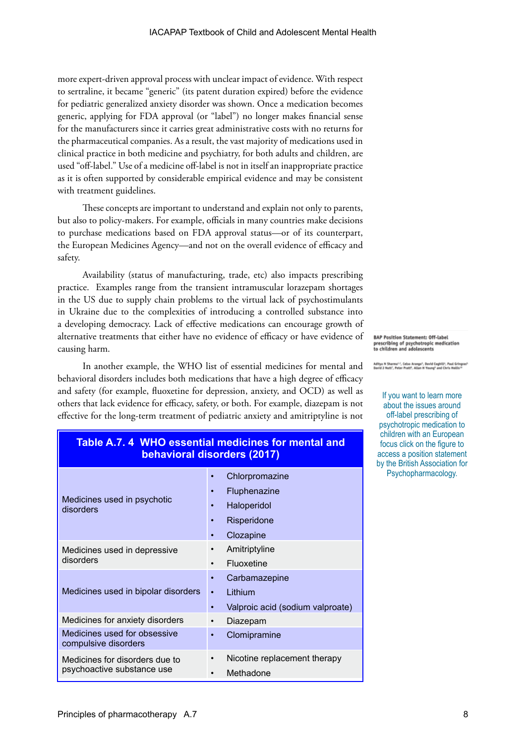more expert-driven approval process with unclear impact of evidence. With respect to sertraline, it became "generic" (its patent duration expired) before the evidence for pediatric generalized anxiety disorder was shown. Once a medication becomes generic, applying for FDA approval (or "label") no longer makes financial sense for the manufacturers since it carries great administrative costs with no returns for the pharmaceutical companies. As a result, the vast majority of medications used in clinical practice in both medicine and psychiatry, for both adults and children, are used "off-label." Use of a medicine off-label is not in itself an inappropriate practice as it is often supported by considerable empirical evidence and may be consistent with treatment guidelines.

These concepts are important to understand and explain not only to parents, but also to policy-makers. For example, officials in many countries make decisions to purchase medications based on FDA approval status—or of its counterpart, the European Medicines Agency—and not on the overall evidence of efficacy and safety.

Availability (status of manufacturing, trade, etc) also impacts prescribing practice. Examples range from the transient intramuscular lorazepam shortages in the US due to supply chain problems to the virtual lack of psychostimulants in Ukraine due to the complexities of introducing a controlled substance into a developing democracy. Lack of effective medications can encourage growth of alternative treatments that either have no evidence of efficacy or have evidence of causing harm.

In another example, the WHO list of essential medicines for mental and behavioral disorders includes both medications that have a high degree of efficacy and safety (for example, fluoxetine for depression, anxiety, and OCD) as well as others that lack evidence for efficacy, safety, or both. For example, diazepam is not effective for the long-term treatment of pediatric anxiety and amitriptyline is not **BAP Position Statement: Off-label** prescribing of psychotropic medication<br>to children and adolescents

Aditya N Sharma<sup>na</sup>, Celso Arango<sup>3</sup>, David Coghill?, Paul Gringra:<br>David J Nott!, Peter Pratt<sup>a</sup>, Allan N Young<sup>3</sup> and Chris Hollis<sup>10</sup>

If you want to learn more about the issues around off-label prescribing of psychotropic medication to children with an European focus click on the figure to access a position statement [by the British Association for](https://www.bap.org.uk/pdfs/BAP_Position_Statement_Off-label.pdf)  Psychopharmacology.

| behavioral disorders (2017)                                  |                                                                           |  |
|--------------------------------------------------------------|---------------------------------------------------------------------------|--|
| Medicines used in psychotic<br>disorders                     | Chlorpromazine<br>Fluphenazine<br>Haloperidol<br>Risperidone<br>Clozapine |  |
| Medicines used in depressive<br>disorders                    | Amitriptyline<br>Fluoxetine                                               |  |
| Medicines used in bipolar disorders                          | Carbamazepine<br>Lithium<br>$\bullet$<br>Valproic acid (sodium valproate) |  |
| Medicines for anxiety disorders                              | Diazepam                                                                  |  |
| Medicines used for obsessive<br>compulsive disorders         | Clomipramine                                                              |  |
| Medicines for disorders due to<br>psychoactive substance use | Nicotine replacement therapy<br>Methadone                                 |  |

# **Table A.7. 4 WHO essential medicines for mental and**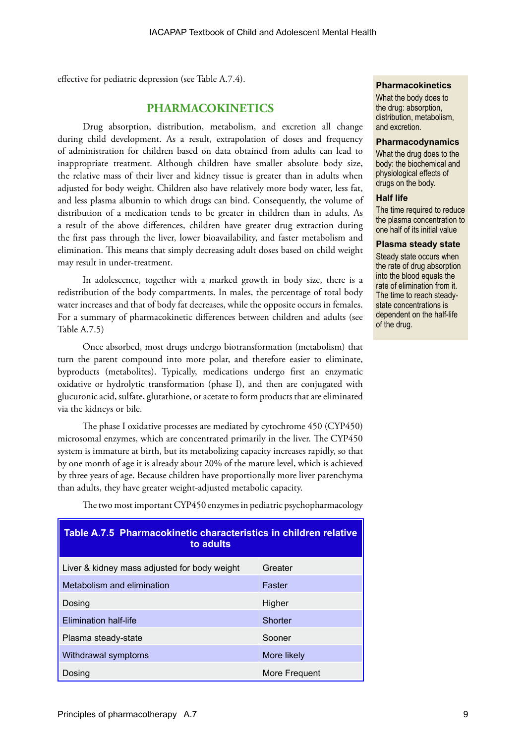effective for pediatric depression (see Table A.7.4).

# **PHARMACOKINETICS**

Drug absorption, distribution, metabolism, and excretion all change during child development. As a result, extrapolation of doses and frequency of administration for children based on data obtained from adults can lead to inappropriate treatment. Although children have smaller absolute body size, the relative mass of their liver and kidney tissue is greater than in adults when adjusted for body weight. Children also have relatively more body water, less fat, and less plasma albumin to which drugs can bind. Consequently, the volume of distribution of a medication tends to be greater in children than in adults. As a result of the above differences, children have greater drug extraction during the first pass through the liver, lower bioavailability, and faster metabolism and elimination. This means that simply decreasing adult doses based on child weight may result in under-treatment.

In adolescence, together with a marked growth in body size, there is a redistribution of the body compartments. In males, the percentage of total body water increases and that of body fat decreases, while the opposite occurs in females. For a summary of pharmacokinetic differences between children and adults (see Table A.7.5)

Once absorbed, most drugs undergo biotransformation (metabolism) that turn the parent compound into more polar, and therefore easier to eliminate, byproducts (metabolites). Typically, medications undergo first an enzymatic oxidative or hydrolytic transformation (phase I), and then are conjugated with glucuronic acid, sulfate, glutathione, or acetate to form products that are eliminated via the kidneys or bile.

The phase I oxidative processes are mediated by cytochrome 450 (CYP450) microsomal enzymes, which are concentrated primarily in the liver. The CYP450 system is immature at birth, but its metabolizing capacity increases rapidly, so that by one month of age it is already about 20% of the mature level, which is achieved by three years of age. Because children have proportionally more liver parenchyma than adults, they have greater weight-adjusted metabolic capacity.

| Table A.7.5 Pharmacokinetic characteristics in children relative<br>to adults |               |  |
|-------------------------------------------------------------------------------|---------------|--|
| Liver & kidney mass adjusted for body weight                                  | Greater       |  |
| Metabolism and elimination                                                    | Faster        |  |
| Dosing                                                                        | Higher        |  |
| <b>Elimination half-life</b>                                                  | Shorter       |  |
| Plasma steady-state                                                           | Sooner        |  |
| Withdrawal symptoms                                                           | More likely   |  |
| Dosing                                                                        | More Frequent |  |

The two most important CYP450 enzymes in pediatric psychopharmacology

#### **Pharmacokinetics**

What the body does to the drug: absorption, distribution, metabolism, and excretion.

#### **Pharmacodynamics**

What the drug does to the body: the biochemical and physiological effects of drugs on the body.

#### **Half life**

The time required to reduce the plasma concentration to one half of its initial value

#### **Plasma steady state**

Steady state occurs when the rate of drug absorption into the blood equals the rate of elimination from it. The time to reach steadystate concentrations is dependent on the half-life of the drug.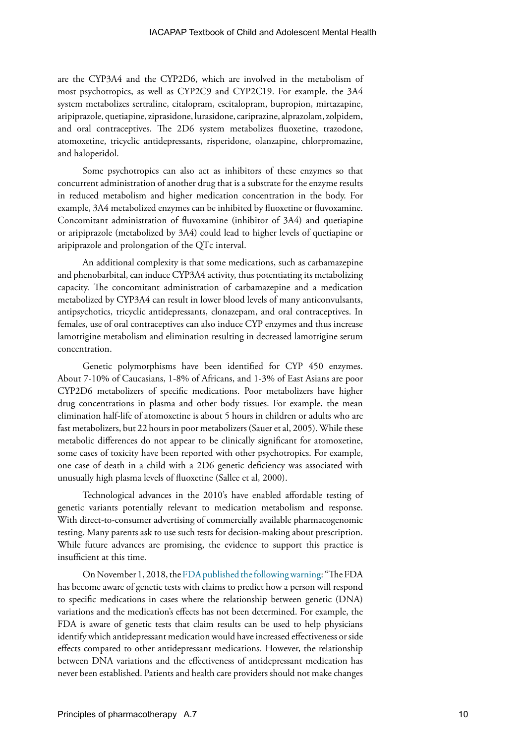are the CYP3A4 and the CYP2D6, which are involved in the metabolism of most psychotropics, as well as CYP2C9 and CYP2C19. For example, the 3A4 system metabolizes sertraline, citalopram, escitalopram, bupropion, mirtazapine, aripiprazole, quetiapine, ziprasidone, lurasidone, cariprazine, alprazolam, zolpidem, and oral contraceptives. The 2D6 system metabolizes fluoxetine, trazodone, atomoxetine, tricyclic antidepressants, risperidone, olanzapine, chlorpromazine, and haloperidol.

Some psychotropics can also act as inhibitors of these enzymes so that concurrent administration of another drug that is a substrate for the enzyme results in reduced metabolism and higher medication concentration in the body. For example, 3A4 metabolized enzymes can be inhibited by fluoxetine or fluvoxamine. Concomitant administration of fluvoxamine (inhibitor of 3A4) and quetiapine or aripiprazole (metabolized by 3A4) could lead to higher levels of quetiapine or aripiprazole and prolongation of the QTc interval.

An additional complexity is that some medications, such as carbamazepine and phenobarbital, can induce CYP3A4 activity, thus potentiating its metabolizing capacity. The concomitant administration of carbamazepine and a medication metabolized by CYP3A4 can result in lower blood levels of many anticonvulsants, antipsychotics, tricyclic antidepressants, clonazepam, and oral contraceptives. In females, use of oral contraceptives can also induce CYP enzymes and thus increase lamotrigine metabolism and elimination resulting in decreased lamotrigine serum concentration.

Genetic polymorphisms have been identified for CYP 450 enzymes. About 7-10% of Caucasians, 1-8% of Africans, and 1-3% of East Asians are poor CYP2D6 metabolizers of specific medications. Poor metabolizers have higher drug concentrations in plasma and other body tissues. For example, the mean elimination half-life of atomoxetine is about 5 hours in children or adults who are fast metabolizers, but 22 hours in poor metabolizers (Sauer et al, 2005). While these metabolic differences do not appear to be clinically significant for atomoxetine, some cases of toxicity have been reported with other psychotropics. For example, one case of death in a child with a 2D6 genetic deficiency was associated with unusually high plasma levels of fluoxetine (Sallee et al, 2000).

Technological advances in the 2010's have enabled affordable testing of genetic variants potentially relevant to medication metabolism and response. With direct-to-consumer advertising of commercially available pharmacogenomic testing. Many parents ask to use such tests for decision-making about prescription. While future advances are promising, the evidence to support this practice is insufficient at this time.

On November 1, 2018, the [FDA published the following warning](https://www.fda.gov/medical-devices/safety-communications/fda-warns-against-use-many-genetic-tests-unapproved-claims-predict-patient-response-specific): "The FDA has become aware of genetic tests with claims to predict how a person will respond to specific medications in cases where the relationship between genetic (DNA) variations and the medication's effects has not been determined. For example, the FDA is aware of genetic tests that claim results can be used to help physicians identify which antidepressant medication would have increased effectiveness or side effects compared to other antidepressant medications. However, the relationship between DNA variations and the effectiveness of antidepressant medication has never been established. Patients and health care providers should not make changes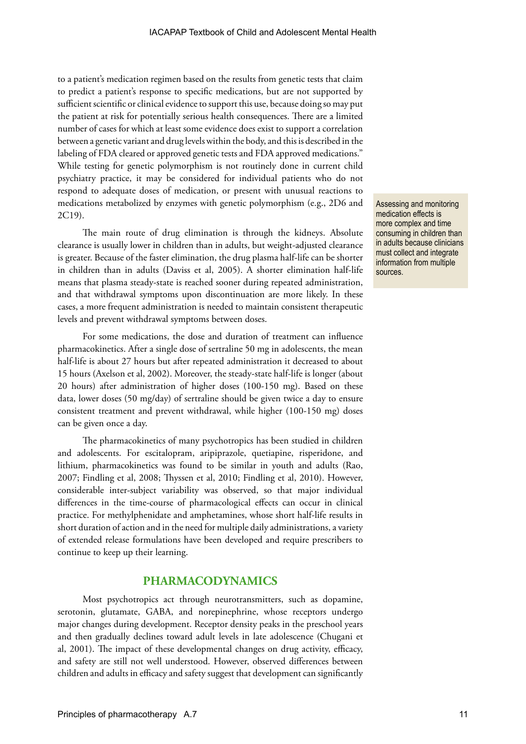to a patient's medication regimen based on the results from genetic tests that claim to predict a patient's response to specific medications, but are not supported by sufficient scientific or clinical evidence to support this use, because doing so may put the patient at risk for potentially serious health consequences. There are a limited number of cases for which at least some evidence does exist to support a correlation between a genetic variant and drug levels within the body, and this is described in the labeling of FDA cleared or approved genetic tests and FDA approved medications." While testing for genetic polymorphism is not routinely done in current child psychiatry practice, it may be considered for individual patients who do not respond to adequate doses of medication, or present with unusual reactions to medications metabolized by enzymes with genetic polymorphism (e.g., 2D6 and 2C19).

The main route of drug elimination is through the kidneys. Absolute clearance is usually lower in children than in adults, but weight-adjusted clearance is greater. Because of the faster elimination, the drug plasma half-life can be shorter in children than in adults (Daviss et al, 2005). A shorter elimination half-life means that plasma steady-state is reached sooner during repeated administration, and that withdrawal symptoms upon discontinuation are more likely. In these cases, a more frequent administration is needed to maintain consistent therapeutic levels and prevent withdrawal symptoms between doses.

For some medications, the dose and duration of treatment can influence pharmacokinetics. After a single dose of sertraline 50 mg in adolescents, the mean half-life is about 27 hours but after repeated administration it decreased to about 15 hours (Axelson et al, 2002). Moreover, the steady-state half-life is longer (about 20 hours) after administration of higher doses (100-150 mg). Based on these data, lower doses (50 mg/day) of sertraline should be given twice a day to ensure consistent treatment and prevent withdrawal, while higher (100-150 mg) doses can be given once a day.

The pharmacokinetics of many psychotropics has been studied in children and adolescents. For escitalopram, aripiprazole, quetiapine, risperidone, and lithium, pharmacokinetics was found to be similar in youth and adults (Rao, 2007; Findling et al, 2008; Thyssen et al, 2010; Findling et al, 2010). However, considerable inter-subject variability was observed, so that major individual differences in the time-course of pharmacological effects can occur in clinical practice. For methylphenidate and amphetamines, whose short half-life results in short duration of action and in the need for multiple daily administrations, a variety of extended release formulations have been developed and require prescribers to continue to keep up their learning.

## **PHARMACODYNAMICS**

Most psychotropics act through neurotransmitters, such as dopamine, serotonin, glutamate, GABA, and norepinephrine, whose receptors undergo major changes during development. Receptor density peaks in the preschool years and then gradually declines toward adult levels in late adolescence (Chugani et al, 2001). The impact of these developmental changes on drug activity, efficacy, and safety are still not well understood. However, observed differences between children and adults in efficacy and safety suggest that development can significantly Assessing and monitoring medication effects is more complex and time consuming in children than in adults because clinicians must collect and integrate information from multiple sources.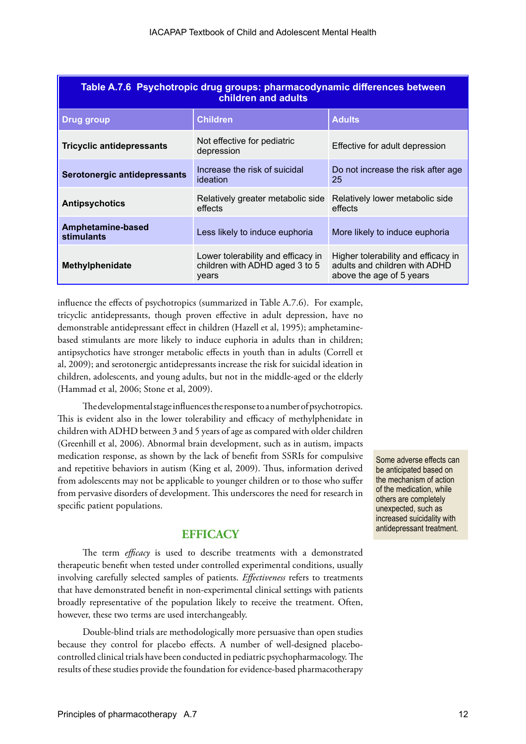| Table A.7.6 Psychotropic drug groups: pharmacodynamic differences between<br>children and adults |                                                                               |                                                                                                  |  |
|--------------------------------------------------------------------------------------------------|-------------------------------------------------------------------------------|--------------------------------------------------------------------------------------------------|--|
| <b>Drug group</b>                                                                                | Children                                                                      | <b>Adults</b>                                                                                    |  |
| <b>Tricyclic antidepressants</b>                                                                 | Not effective for pediatric<br>depression                                     | Effective for adult depression                                                                   |  |
| Serotonergic antidepressants                                                                     | Increase the risk of suicidal<br>ideation                                     | Do not increase the risk after age<br>25                                                         |  |
| <b>Antipsychotics</b>                                                                            | Relatively greater metabolic side<br>effects                                  | Relatively lower metabolic side<br>effects                                                       |  |
| Amphetamine-based<br>stimulants                                                                  | Less likely to induce euphoria                                                | More likely to induce euphoria                                                                   |  |
| Methylphenidate                                                                                  | Lower tolerability and efficacy in<br>children with ADHD aged 3 to 5<br>years | Higher tolerability and efficacy in<br>adults and children with ADHD<br>above the age of 5 years |  |

influence the effects of psychotropics (summarized in Table A.7.6). For example, tricyclic antidepressants, though proven effective in adult depression, have no demonstrable antidepressant effect in children (Hazell et al, 1995); amphetaminebased stimulants are more likely to induce euphoria in adults than in children; antipsychotics have stronger metabolic effects in youth than in adults (Correll et al, 2009); and serotonergic antidepressants increase the risk for suicidal ideation in children, adolescents, and young adults, but not in the middle-aged or the elderly (Hammad et al, 2006; Stone et al, 2009).

The developmental stage influences the response to a number of psychotropics. This is evident also in the lower tolerability and efficacy of methylphenidate in children with ADHD between 3 and 5 years of age as compared with older children (Greenhill et al, 2006). Abnormal brain development, such as in autism, impacts medication response, as shown by the lack of benefit from SSRIs for compulsive and repetitive behaviors in autism (King et al, 2009). Thus, information derived from adolescents may not be applicable to younger children or to those who suffer from pervasive disorders of development. This underscores the need for research in specific patient populations.

## **EFFICACY**

The term *efficacy* is used to describe treatments with a demonstrated therapeutic benefit when tested under controlled experimental conditions, usually involving carefully selected samples of patients. *Effectiveness* refers to treatments that have demonstrated benefit in non-experimental clinical settings with patients broadly representative of the population likely to receive the treatment. Often, however, these two terms are used interchangeably.

Double-blind trials are methodologically more persuasive than open studies because they control for placebo effects. A number of well-designed placebocontrolled clinical trials have been conducted in pediatric psychopharmacology. The results of these studies provide the foundation for evidence-based pharmacotherapy

Some adverse effects can be anticipated based on the mechanism of action of the medication, while others are completely unexpected, such as increased suicidality with antidepressant treatment.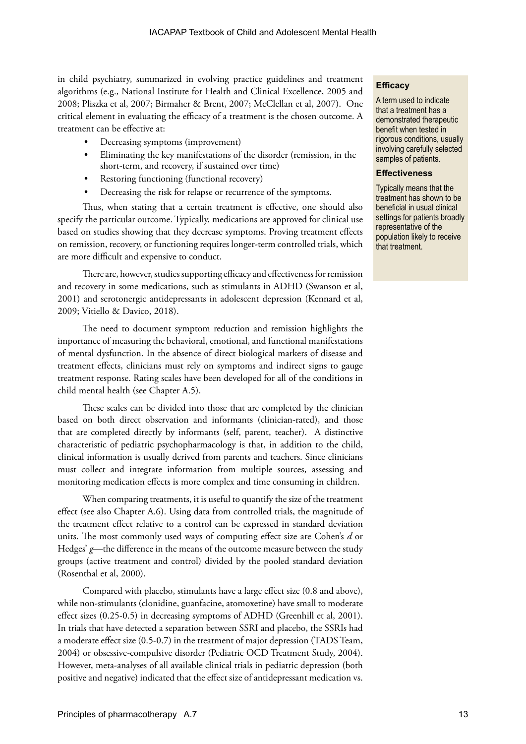in child psychiatry, summarized in evolving practice guidelines and treatment algorithms (e.g., National Institute for Health and Clinical Excellence, 2005 and 2008; Pliszka et al, 2007; Birmaher & Brent, 2007; McClellan et al, 2007). One critical element in evaluating the efficacy of a treatment is the chosen outcome. A treatment can be effective at:

- Decreasing symptoms (improvement)
- Eliminating the key manifestations of the disorder (remission, in the short-term, and recovery, if sustained over time)
- Restoring functioning (functional recovery)
- Decreasing the risk for relapse or recurrence of the symptoms.

Thus, when stating that a certain treatment is effective, one should also specify the particular outcome. Typically, medications are approved for clinical use based on studies showing that they decrease symptoms. Proving treatment effects on remission, recovery, or functioning requires longer-term controlled trials, which are more difficult and expensive to conduct.

There are, however, studies supporting efficacy and effectiveness for remission and recovery in some medications, such as stimulants in ADHD (Swanson et al, 2001) and serotonergic antidepressants in adolescent depression (Kennard et al, 2009; Vitiello & Davico, 2018).

The need to document symptom reduction and remission highlights the importance of measuring the behavioral, emotional, and functional manifestations of mental dysfunction. In the absence of direct biological markers of disease and treatment effects, clinicians must rely on symptoms and indirect signs to gauge treatment response. Rating scales have been developed for all of the conditions in child mental health (see Chapter A.5).

These scales can be divided into those that are completed by the clinician based on both direct observation and informants (clinician-rated), and those that are completed directly by informants (self, parent, teacher). A distinctive characteristic of pediatric psychopharmacology is that, in addition to the child, clinical information is usually derived from parents and teachers. Since clinicians must collect and integrate information from multiple sources, assessing and monitoring medication effects is more complex and time consuming in children.

When comparing treatments, it is useful to quantify the size of the treatment effect (see also Chapter A.6). Using data from controlled trials, the magnitude of the treatment effect relative to a control can be expressed in standard deviation units. The most commonly used ways of computing effect size are Cohen's *d* or Hedges' *g*—the difference in the means of the outcome measure between the study groups (active treatment and control) divided by the pooled standard deviation (Rosenthal et al, 2000).

Compared with placebo, stimulants have a large effect size (0.8 and above), while non-stimulants (clonidine, guanfacine, atomoxetine) have small to moderate effect sizes (0.25-0.5) in decreasing symptoms of ADHD (Greenhill et al, 2001). In trials that have detected a separation between SSRI and placebo, the SSRIs had a moderate effect size (0.5-0.7) in the treatment of major depression (TADS Team, 2004) or obsessive-compulsive disorder (Pediatric OCD Treatment Study, 2004). However, meta-analyses of all available clinical trials in pediatric depression (both positive and negative) indicated that the effect size of antidepressant medication vs.

#### **Efficacy**

A term used to indicate that a treatment has a demonstrated therapeutic benefit when tested in rigorous conditions, usually involving carefully selected samples of patients.

#### **Effectiveness**

Typically means that the treatment has shown to be beneficial in usual clinical settings for patients broadly representative of the population likely to receive that treatment.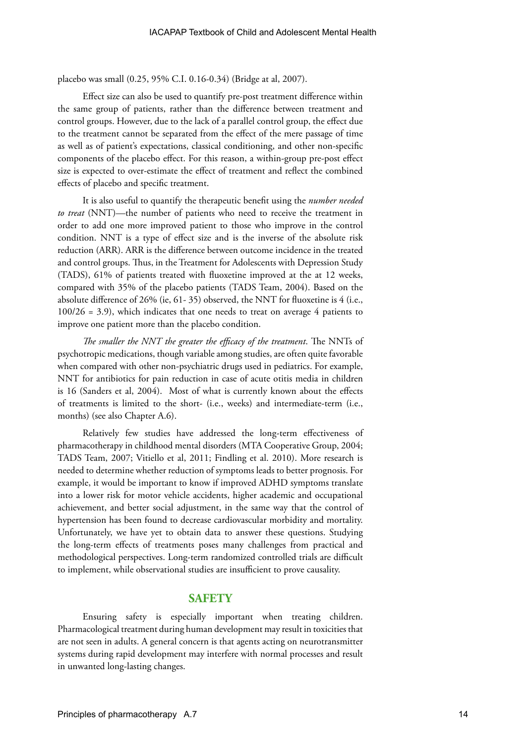placebo was small (0.25, 95% C.I. 0.16-0.34) (Bridge at al, 2007).

Effect size can also be used to quantify pre-post treatment difference within the same group of patients, rather than the difference between treatment and control groups. However, due to the lack of a parallel control group, the effect due to the treatment cannot be separated from the effect of the mere passage of time as well as of patient's expectations, classical conditioning, and other non-specific components of the placebo effect. For this reason, a within-group pre-post effect size is expected to over-estimate the effect of treatment and reflect the combined effects of placebo and specific treatment.

It is also useful to quantify the therapeutic benefit using the *number needed to treat* (NNT)—the number of patients who need to receive the treatment in order to add one more improved patient to those who improve in the control condition. NNT is a type of effect size and is the inverse of the absolute risk reduction (ARR). ARR is the difference between outcome incidence in the treated and control groups. Thus, in the Treatment for Adolescents with Depression Study (TADS), 61% of patients treated with fluoxetine improved at the at 12 weeks, compared with 35% of the placebo patients (TADS Team, 2004). Based on the absolute difference of 26% (ie, 61- 35) observed, the NNT for fluoxetine is 4 (i.e., 100/26 = 3.9), which indicates that one needs to treat on average 4 patients to improve one patient more than the placebo condition.

*The smaller the NNT the greater the efficacy of the treatment*. The NNTs of psychotropic medications, though variable among studies, are often quite favorable when compared with other non-psychiatric drugs used in pediatrics. For example, NNT for antibiotics for pain reduction in case of acute otitis media in children is 16 (Sanders et al, 2004). Most of what is currently known about the effects of treatments is limited to the short- (i.e., weeks) and intermediate-term (i.e., months) (see also Chapter A.6).

Relatively few studies have addressed the long-term effectiveness of pharmacotherapy in childhood mental disorders (MTA Cooperative Group, 2004; TADS Team, 2007; Vitiello et al, 2011; Findling et al. 2010). More research is needed to determine whether reduction of symptoms leads to better prognosis. For example, it would be important to know if improved ADHD symptoms translate into a lower risk for motor vehicle accidents, higher academic and occupational achievement, and better social adjustment, in the same way that the control of hypertension has been found to decrease cardiovascular morbidity and mortality. Unfortunately, we have yet to obtain data to answer these questions. Studying the long-term effects of treatments poses many challenges from practical and methodological perspectives. Long-term randomized controlled trials are difficult to implement, while observational studies are insufficient to prove causality.

## **SAFETY**

Ensuring safety is especially important when treating children. Pharmacological treatment during human development may result in toxicities that are not seen in adults. A general concern is that agents acting on neurotransmitter systems during rapid development may interfere with normal processes and result in unwanted long-lasting changes.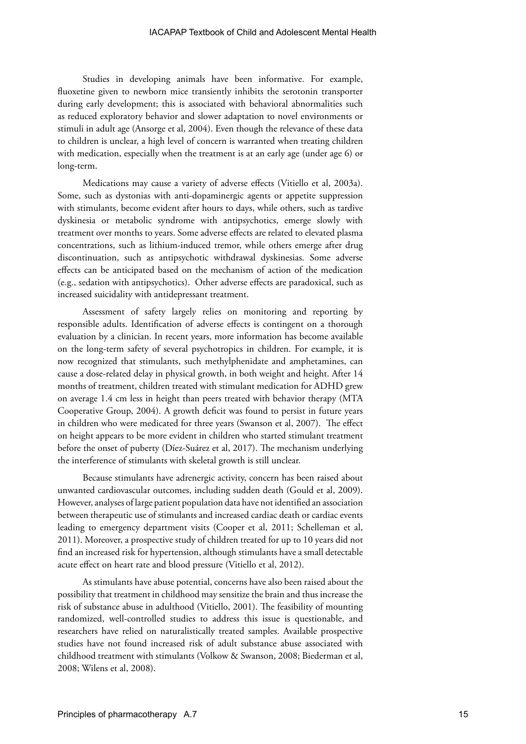Studies in developing animals have been informative. For example, fluoxetine given to newborn mice transiently inhibits the serotonin transporter during early development; this is associated with behavioral abnormalities such as reduced exploratory behavior and slower adaptation to novel environments or stimuli in adult age (Ansorge et al, 2004). Even though the relevance of these data to children is unclear, a high level of concern is warranted when treating children with medication, especially when the treatment is at an early age (under age 6) or long-term.

Medications may cause a variety of adverse effects (Vitiello et al, 2003a). Some, such as dystonias with anti-dopaminergic agents or appetite suppression with stimulants, become evident after hours to days, while others, such as tardive dyskinesia or metabolic syndrome with antipsychotics, emerge slowly with treatment over months to years. Some adverse effects are related to elevated plasma concentrations, such as lithium-induced tremor, while others emerge after drug discontinuation, such as antipsychotic withdrawal dyskinesias. Some adverse effects can be anticipated based on the mechanism of action of the medication (e.g., sedation with antipsychotics). Other adverse effects are paradoxical, such as increased suicidality with antidepressant treatment.

Assessment of safety largely relies on monitoring and reporting by responsible adults. Identification of adverse effects is contingent on a thorough evaluation by a clinician. In recent years, more information has become available on the long-term safety of several psychotropics in children. For example, it is now recognized that stimulants, such methylphenidate and amphetamines, can cause a dose-related delay in physical growth, in both weight and height. After 14 months of treatment, children treated with stimulant medication for ADHD grew on average 1.4 cm less in height than peers treated with behavior therapy (MTA Cooperative Group, 2004). A growth deficit was found to persist in future years in children who were medicated for three years (Swanson et al, 2007). The effect on height appears to be more evident in children who started stimulant treatment before the onset of puberty (Díez-Suárez et al, 2017). The mechanism underlying the interference of stimulants with skeletal growth is still unclear.

Because stimulants have adrenergic activity, concern has been raised about unwanted cardiovascular outcomes, including sudden death (Gould et al, 2009). However, analyses of large patient population data have not identified an association between therapeutic use of stimulants and increased cardiac death or cardiac events leading to emergency department visits (Cooper et al, 2011; Schelleman et al, 2011). Moreover, a prospective study of children treated for up to 10 years did not find an increased risk for hypertension, although stimulants have a small detectable acute effect on heart rate and blood pressure (Vitiello et al, 2012).

As stimulants have abuse potential, concerns have also been raised about the possibility that treatment in childhood may sensitize the brain and thus increase the risk of substance abuse in adulthood (Vitiello, 2001). The feasibility of mounting randomized, well-controlled studies to address this issue is questionable, and researchers have relied on naturalistically treated samples. Available prospective studies have not found increased risk of adult substance abuse associated with childhood treatment with stimulants (Volkow & Swanson, 2008; Biederman et al, 2008; Wilens et al, 2008).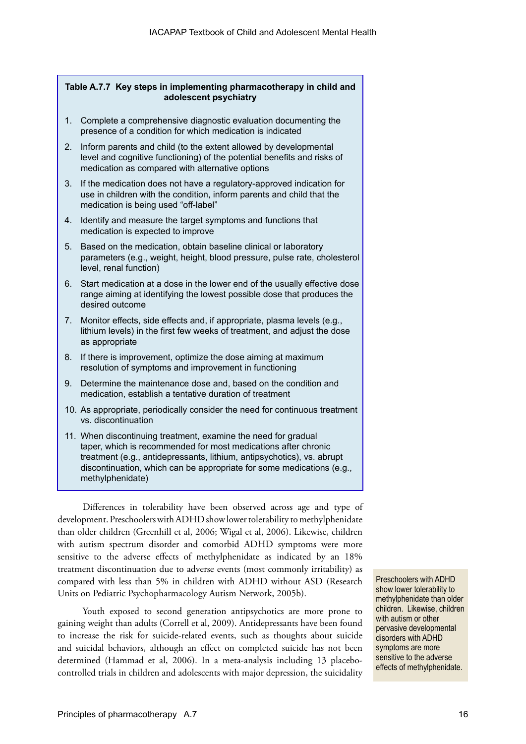#### **Table A.7.7 Key steps in implementing pharmacotherapy in child and adolescent psychiatry**

- 1. Complete a comprehensive diagnostic evaluation documenting the presence of a condition for which medication is indicated
- 2. Inform parents and child (to the extent allowed by developmental level and cognitive functioning) of the potential benefits and risks of medication as compared with alternative options
- 3. If the medication does not have a regulatory-approved indication for use in children with the condition, inform parents and child that the medication is being used "off-label"
- 4. Identify and measure the target symptoms and functions that medication is expected to improve
- 5. Based on the medication, obtain baseline clinical or laboratory parameters (e.g., weight, height, blood pressure, pulse rate, cholesterol level, renal function)
- 6. Start medication at a dose in the lower end of the usually effective dose range aiming at identifying the lowest possible dose that produces the desired outcome
- 7. Monitor effects, side effects and, if appropriate, plasma levels (e.g., lithium levels) in the first few weeks of treatment, and adjust the dose as appropriate
- 8. If there is improvement, optimize the dose aiming at maximum resolution of symptoms and improvement in functioning
- 9. Determine the maintenance dose and, based on the condition and medication, establish a tentative duration of treatment
- 10. As appropriate, periodically consider the need for continuous treatment vs. discontinuation
- 11. When discontinuing treatment, examine the need for gradual taper, which is recommended for most medications after chronic treatment (e.g., antidepressants, lithium, antipsychotics), vs. abrupt discontinuation, which can be appropriate for some medications (e.g., methylphenidate)

Differences in tolerability have been observed across age and type of development. Preschoolers with ADHD show lower tolerability to methylphenidate than older children (Greenhill et al, 2006; Wigal et al, 2006). Likewise, children with autism spectrum disorder and comorbid ADHD symptoms were more sensitive to the adverse effects of methylphenidate as indicated by an 18% treatment discontinuation due to adverse events (most commonly irritability) as compared with less than 5% in children with ADHD without ASD (Research Units on Pediatric Psychopharmacology Autism Network, 2005b).

Youth exposed to second generation antipsychotics are more prone to gaining weight than adults (Correll et al, 2009). Antidepressants have been found to increase the risk for suicide-related events, such as thoughts about suicide and suicidal behaviors, although an effect on completed suicide has not been determined (Hammad et al, 2006). In a meta-analysis including 13 placebocontrolled trials in children and adolescents with major depression, the suicidality Preschoolers with ADHD show lower tolerability to methylphenidate than older children. Likewise, children with autism or other pervasive developmental disorders with ADHD symptoms are more sensitive to the adverse effects of methylphenidate.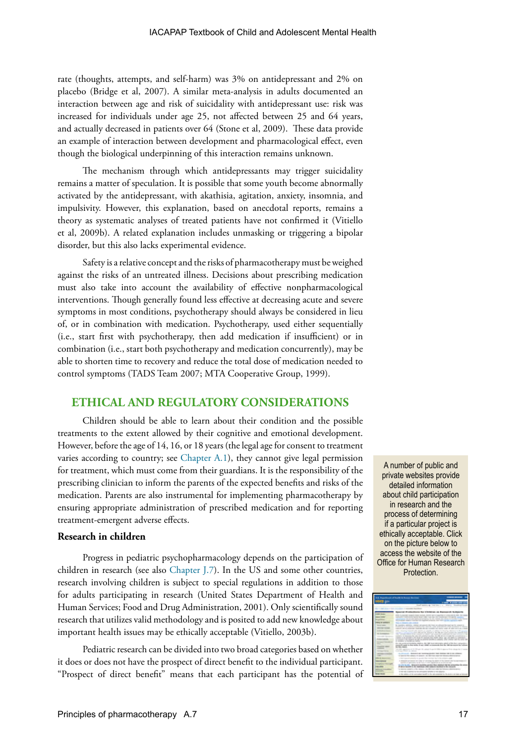rate (thoughts, attempts, and self-harm) was 3% on antidepressant and 2% on placebo (Bridge et al, 2007). A similar meta-analysis in adults documented an interaction between age and risk of suicidality with antidepressant use: risk was increased for individuals under age 25, not affected between 25 and 64 years, and actually decreased in patients over 64 (Stone et al, 2009). These data provide an example of interaction between development and pharmacological effect, even though the biological underpinning of this interaction remains unknown.

The mechanism through which antidepressants may trigger suicidality remains a matter of speculation. It is possible that some youth become abnormally activated by the antidepressant, with akathisia, agitation, anxiety, insomnia, and impulsivity. However, this explanation, based on anecdotal reports, remains a theory as systematic analyses of treated patients have not confirmed it (Vitiello et al, 2009b). A related explanation includes unmasking or triggering a bipolar disorder, but this also lacks experimental evidence.

Safety is a relative concept and the risks of pharmacotherapy must be weighed against the risks of an untreated illness. Decisions about prescribing medication must also take into account the availability of effective nonpharmacological interventions. Though generally found less effective at decreasing acute and severe symptoms in most conditions, psychotherapy should always be considered in lieu of, or in combination with medication. Psychotherapy, used either sequentially (i.e., start first with psychotherapy, then add medication if insufficient) or in combination (i.e., start both psychotherapy and medication concurrently), may be able to shorten time to recovery and reduce the total dose of medication needed to control symptoms (TADS Team 2007; MTA Cooperative Group, 1999).

# **ETHICAL AND REGULATORY CONSIDERATIONS**

Children should be able to learn about their condition and the possible treatments to the extent allowed by their cognitive and emotional development. However, before the age of 14, 16, or 18 years (the legal age for consent to treatment varies according to country; see [Chapter A.1\)](https://iacapap.org/wp-content/uploads/A.1-ETHICS-072012.pdf), they cannot give legal permission for treatment, which must come from their guardians. It is the responsibility of the prescribing clinician to inform the parents of the expected benefits and risks of the medication. Parents are also instrumental for implementing pharmacotherapy by ensuring appropriate administration of prescribed medication and for reporting treatment-emergent adverse effects.

#### **Research in children**

Progress in pediatric psychopharmacology depends on the participation of children in research (see also [Chapter J.7](https://iacapap.org/wp-content/uploads/J.7-UN-CONVENTION-072012.pdf)). In the US and some other countries, research involving children is subject to special regulations in addition to those for adults participating in research (United States Department of Health and Human Services; Food and Drug Administration, 2001). Only scientifically sound research that utilizes valid methodology and is posited to add new knowledge about important health issues may be ethically acceptable (Vitiello, 2003b).

Pediatric research can be divided into two broad categories based on whether it does or does not have the prospect of direct benefit to the individual participant. "Prospect of direct benefit" means that each participant has the potential of

A number of public and private websites provide detailed information about child participation in research and the process of determining if a particular project is ethically acceptable. Click on the picture below to access the website of the Office for Human Research Protection.

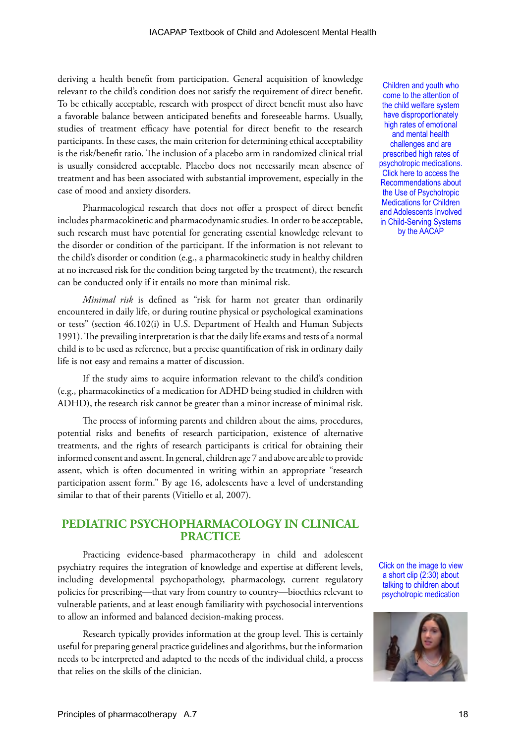deriving a health benefit from participation. General acquisition of knowledge relevant to the child's condition does not satisfy the requirement of direct benefit. To be ethically acceptable, research with prospect of direct benefit must also have a favorable balance between anticipated benefits and foreseeable harms. Usually, studies of treatment efficacy have potential for direct benefit to the research participants. In these cases, the main criterion for determining ethical acceptability is the risk/benefit ratio. The inclusion of a placebo arm in randomized clinical trial is usually considered acceptable. Placebo does not necessarily mean absence of treatment and has been associated with substantial improvement, especially in the case of mood and anxiety disorders.

Pharmacological research that does not offer a prospect of direct benefit includes pharmacokinetic and pharmacodynamic studies. In order to be acceptable, such research must have potential for generating essential knowledge relevant to the disorder or condition of the participant. If the information is not relevant to the child's disorder or condition (e.g., a pharmacokinetic study in healthy children at no increased risk for the condition being targeted by the treatment), the research can be conducted only if it entails no more than minimal risk.

*Minimal risk* is defined as "risk for harm not greater than ordinarily encountered in daily life, or during routine physical or psychological examinations or tests" (section 46.102(i) in U.S. Department of Health and Human Subjects 1991). The prevailing interpretation is that the daily life exams and tests of a normal child is to be used as reference, but a precise quantification of risk in ordinary daily life is not easy and remains a matter of discussion.

If the study aims to acquire information relevant to the child's condition (e.g., pharmacokinetics of a medication for ADHD being studied in children with ADHD), the research risk cannot be greater than a minor increase of minimal risk.

The process of informing parents and children about the aims, procedures, potential risks and benefits of research participation, existence of alternative treatments, and the rights of research participants is critical for obtaining their informed consent and assent. In general, children age 7 and above are able to provide assent, which is often documented in writing within an appropriate "research participation assent form." By age 16, adolescents have a level of understanding similar to that of their parents (Vitiello et al, 2007).

# **PEDIATRIC PSYCHOPHARMACOLOGY IN CLINICAL PRACTICE**

Practicing evidence-based pharmacotherapy in child and adolescent psychiatry requires the integration of knowledge and expertise at different levels, including developmental psychopathology, pharmacology, current regulatory policies for prescribing—that vary from country to country—bioethics relevant to vulnerable patients, and at least enough familiarity with psychosocial interventions to allow an informed and balanced decision-making process.

Research typically provides information at the group level. This is certainly useful for preparing general practice guidelines and algorithms, but the information needs to be interpreted and adapted to the needs of the individual child, a process that relies on the skills of the clinician.

Children and youth who come to the attention of the child welfare system have disproportionately high rates of emotional and mental health challenges and are prescribed high rates of [psychotropic medications.](https://www.aacap.org/App_Themes/AACAP/docs/clinical_practice_center/systems_of_care/AACAP_Psychotropic_Medication_Recommendations_2015_FINAL.pdf)  Click here to access the Recommendations about the Use of Psychotropic Medications for Children and Adolescents Involved in Child-Serving Systems by the AACAP

Click on the image to view a short clip (2:30) about talking to children about psychotropic medication

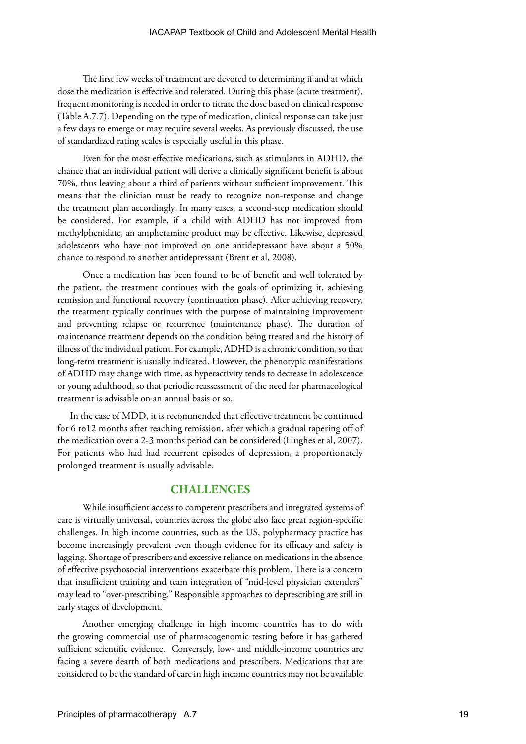The first few weeks of treatment are devoted to determining if and at which dose the medication is effective and tolerated. During this phase (acute treatment), frequent monitoring is needed in order to titrate the dose based on clinical response (Table A.7.7). Depending on the type of medication, clinical response can take just a few days to emerge or may require several weeks. As previously discussed, the use of standardized rating scales is especially useful in this phase.

Even for the most effective medications, such as stimulants in ADHD, the chance that an individual patient will derive a clinically significant benefit is about 70%, thus leaving about a third of patients without sufficient improvement. This means that the clinician must be ready to recognize non-response and change the treatment plan accordingly. In many cases, a second-step medication should be considered. For example, if a child with ADHD has not improved from methylphenidate, an amphetamine product may be effective. Likewise, depressed adolescents who have not improved on one antidepressant have about a 50% chance to respond to another antidepressant (Brent et al, 2008).

Once a medication has been found to be of benefit and well tolerated by the patient, the treatment continues with the goals of optimizing it, achieving remission and functional recovery (continuation phase). After achieving recovery, the treatment typically continues with the purpose of maintaining improvement and preventing relapse or recurrence (maintenance phase). The duration of maintenance treatment depends on the condition being treated and the history of illness of the individual patient. For example, ADHD is a chronic condition, so that long-term treatment is usually indicated. However, the phenotypic manifestations of ADHD may change with time, as hyperactivity tends to decrease in adolescence or young adulthood, so that periodic reassessment of the need for pharmacological treatment is advisable on an annual basis or so.

In the case of MDD, it is recommended that effective treatment be continued for 6 to12 months after reaching remission, after which a gradual tapering off of the medication over a 2-3 months period can be considered (Hughes et al, 2007). For patients who had had recurrent episodes of depression, a proportionately prolonged treatment is usually advisable.

## **CHALLENGES**

While insufficient access to competent prescribers and integrated systems of care is virtually universal, countries across the globe also face great region-specific challenges. In high income countries, such as the US, polypharmacy practice has become increasingly prevalent even though evidence for its efficacy and safety is lagging. Shortage of prescribers and excessive reliance on medications in the absence of effective psychosocial interventions exacerbate this problem. There is a concern that insufficient training and team integration of "mid-level physician extenders" may lead to "over-prescribing." Responsible approaches to deprescribing are still in early stages of development.

Another emerging challenge in high income countries has to do with the growing commercial use of pharmacogenomic testing before it has gathered sufficient scientific evidence. Conversely, low- and middle-income countries are facing a severe dearth of both medications and prescribers. Medications that are considered to be the standard of care in high income countries may not be available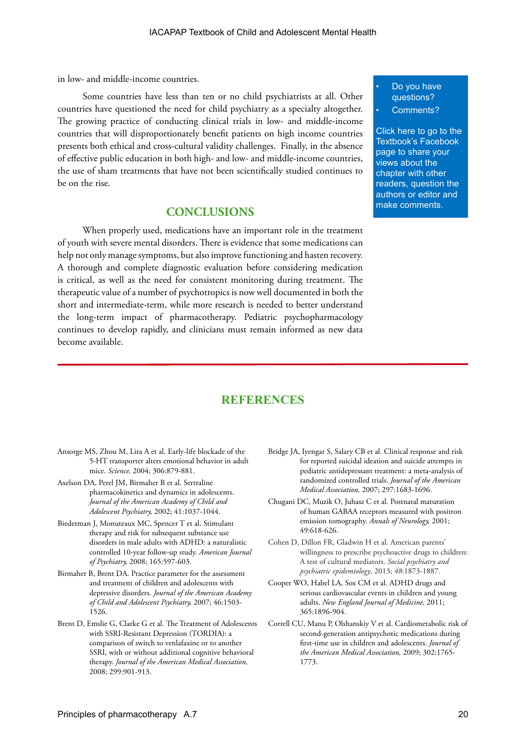in low- and middle-income countries.

Some countries have less than ten or no child psychiatrists at all. Other countries have questioned the need for child psychiatry as a specialty altogether. The growing practice of conducting clinical trials in low- and middle-income countries that will disproportionately benefit patients on high income countries presents both ethical and cross-cultural validity challenges. Finally, in the absence of effective public education in both high- and low- and middle-income countries, the use of sham treatments that have not been scientifically studied continues to be on the rise.

# **CONCLUSIONS**

When properly used, medications have an important role in the treatment of youth with severe mental disorders. There is evidence that some medications can help not only manage symptoms, but also improve functioning and hasten recovery. A thorough and complete diagnostic evaluation before considering medication is critical, as well as the need for consistent monitoring during treatment. The therapeutic value of a number of psychotropics is now well documented in both the short and intermediate-term, while more research is needed to better understand the long-term impact of pharmacotherapy. Pediatric psychopharmacology continues to develop rapidly, and clinicians must remain informed as new data become available.

Do you have questions?

Comments?

[Click here to go to the](https://www.facebook.com/pages/IACAPAP-Textbook-of-Child-and-Adolescent-Mental-Health/249690448525378)  Textbook's Facebook page to share your views about the chapter with other readers, question the authors or editor and make comments.

# **REFERENCES**

- Ansorge MS, Zhou M, Lira A et al. Early-life blockade of the 5-HT transporter alters emotional behavior in adult mice. *Science,* 2004; 306:879-881.
- Axelson DA, Perel JM, Birmaher B et al. Sertraline pharmacokinetics and dynamics in adolescents. *Journal of the American Academy of Child and Adolescent Psychiatry,* 2002; 41:1037-1044.
- Biederman J, Monuteaux MC, Spencer T et al. Stimulant therapy and risk for subsequent substance use disorders in male adults with ADHD: a naturalistic controlled 10-year follow-up study. *American Journal of Psychiatry,* 2008; 165:597-603.
- Birmaher B, Brent DA. Practice parameter for the assessment and treatment of children and adolescents with depressive disorders. *Journal of the American Academy of Child and Adolescent Psychiatry,* 2007; 46:1503- 1526.
- Brent D, Emslie G, Clarke G et al. The Treatment of Adolescents with SSRI-Resistant Depression (TORDIA): a comparison of switch to venlafaxine or to another SSRI, with or without additional cognitive behavioral therapy. *Journal of the American Medical Association,*  2008; 299:901-913.
- Bridge JA, Iyengar S, Salary CB et al. Clinical response and risk for reported suicidal ideation and suicide attempts in pediatric antidepressant treatment: a meta-analysis of randomized controlled trials. *Journal of the American Medical Association,* 2007; 297:1683-1696.
- Chugani DC, Muzik O, Juhasz C et al. Postnatal maturation of human GABAA receptors measured with positron emission tomography. *Annals of Neurology,* 2001; 49:618-626.
- Cohen D, Dillon FR, Gladwin H et al. American parents' willingness to prescribe psychoactive drugs to children: A test of cultural mediators. *Social psychiatry and psychiatric epidemiology*, 2013; *48*:1873-1887.
- Cooper WO, Habel LA, Sox CM et al. ADHD drugs and serious cardiovascular events in children and young adults. *New England Journal of Medicine,* 2011; 365:1896-904.
- Correll CU, Manu P, Olshanskiy V et al. Cardiometabolic risk of second-generation antipsychotic medications during first-time use in children and adolescents. *Journal of the American Medical Association,* 2009; 302:1765- 1773.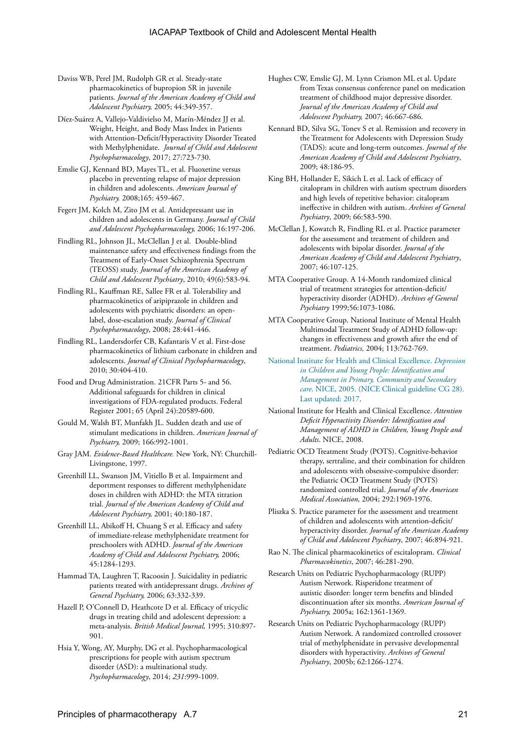- Daviss WB, Perel JM, Rudolph GR et al. Steady-state pharmacokinetics of bupropion SR in juvenile patients. *Journal of the American Academy of Child and Adolescent Psychiatry,* 2005; 44:349-357.
- Díez-Suárez A, Vallejo-Valdivielso M, Marín-Méndez JJ et al. Weight, Height, and Body Mass Index in Patients with Attention-Deficit/Hyperactivity Disorder Treated with Methylphenidate. *Journal of Child and Adolescent Psychopharmacology*, 2017; 27:723-730.
- Emslie GJ, Kennard BD, Mayes TL, et al. Fluoxetine versus placebo in preventing relapse of major depression in children and adolescents. *American Journal of Psychiatry.* 2008;165: 459-467.
- Fegert JM, Kolch M, Zito JM et al. Antidepressant use in children and adolescents in Germany. *Journal of Child and Adolescent Psychopharmacology,* 2006; 16:197-206.
- Findling RL, Johnson JL, McClellan J et al. Double-blind maintenance safety and effectiveness findings from the Treatment of Early-Onset Schizophrenia Spectrum (TEOSS) study. *Journal of the American Academy of Child and Adolescent Psychiatry*, 2010; 49(6):583-94.
- Findling RL, Kauffman RE, Sallee FR et al. Tolerability and pharmacokinetics of aripiprazole in children and adolescents with psychiatric disorders: an openlabel, dose-escalation study. *Journal of Clinical Psychopharmacology*, 2008; 28:441-446.
- Findling RL, Landersdorfer CB, Kafantaris V et al. First-dose pharmacokinetics of lithium carbonate in children and adolescents. *Journal of Clinical Psychopharmacology*, 2010; 30:404-410.
- Food and Drug Administration. 21CFR Parts 5- and 56. Additional safeguards for children in clinical investigations of FDA-regulated products. Federal Register 2001; 65 (April 24):20589-600.
- Gould M, Walsh BT, Munfakh JL. Sudden death and use of stimulant medications in children. *American Journal of Psychiatry,* 2009; 166:992-1001.
- Gray JAM. *Evidence-Based Healthcare.* New York, NY: Churchill-Livingstone, 1997.
- Greenhill LL, Swanson JM, Vitiello B et al. Impairment and deportment responses to different methylphenidate doses in children with ADHD: the MTA titration trial. *Journal of the American Academy of Child and Adolescent Psychiatry,* 2001; 40:180-187.
- Greenhill LL, Abikoff H, Chuang S et al. Efficacy and safety of immediate-release methylphenidate treatment for preschoolers with ADHD. *Journal of the American Academy of Child and Adolescent Psychiatry,* 2006; 45:1284-1293.
- Hammad TA, Laughren T, Racoosin J. Suicidality in pediatric patients treated with antidepressant drugs. *Archives of General Psychiatry,* 2006; 63:332-339.
- Hazell P, O'Connell D, Heathcote D et al. Efficacy of tricyclic drugs in treating child and adolescent depression: a meta-analysis. *British Medical Journal,* 1995; 310:897- 901.
- Hsia Y, Wong, AY, Murphy, DG et al. Psychopharmacological prescriptions for people with autism spectrum disorder (ASD): a multinational study. *Psychopharmacology*, 2014; *231*:999-1009.
- Hughes CW, Emslie GJ, M. Lynn Crismon ML et al. Update from Texas consensus conference panel on medication treatment of childhood major depressive disorder. *Journal of the American Academy of Child and Adolescent Psychiatry,* 2007; 46:667-686.
- Kennard BD, Silva SG, Tonev S et al. Remission and recovery in the Treatment for Adolescents with Depression Study (TADS): acute and long-term outcomes. *Journal of the American Academy of Child and Adolescent Psychiatry*, 2009; 48:186-95.
- King BH, Hollander E, Sikich L et al. Lack of efficacy of citalopram in children with autism spectrum disorders and high levels of repetitive behavior: citalopram ineffective in children with autism. *Archives of General Psychiatry*, 2009; 66:583-590.
- McClellan J, Kowatch R, Findling RL et al. Practice parameter for the assessment and treatment of children and adolescents with bipolar disorder. *Journal of the American Academy of Child and Adolescent Psychiatry*, 2007; 46:107-125.
- MTA Cooperative Group. A 14-Month randomized clinical trial of treatment strategies for attention-deficit/ hyperactivity disorder (ADHD). *Archives of General Psychiatry* 1999;56:1073-1086.
- MTA Cooperative Group. National Institute of Mental Health Multimodal Treatment Study of ADHD follow-up: changes in effectiveness and growth after the end of treatment. *Pediatrics,* 2004; 113:762-769.
- [National Institute for Health and Clinical Excellence.](https://www.nice.org.uk/guidance/cg28/chapter/1-recommendations) *Depression [in Children and Young People: Identification and](https://www.nice.org.uk/guidance/cg28/chapter/1-recommendations)  [Management in Primary, Community and Secondary](https://www.nice.org.uk/guidance/cg28/chapter/1-recommendations)  care*[. NICE, 2005. \(NICE Clinical guideline CG 28\).](https://www.nice.org.uk/guidance/cg28/chapter/1-recommendations)  [Last updated: 2017.](https://www.nice.org.uk/guidance/cg28/chapter/1-recommendations)
- National Institute for Health and Clinical Excellence. *Attention Deficit Hyperactivity Disorder: Identification and Management of ADHD in Children, Young People and Adults*. NICE, 2008.
- Pediatric OCD Treatment Study (POTS). Cognitive-behavior therapy, sertraline, and their combination for children and adolescents with obsessive-compulsive disorder: the Pediatric OCD Treatment Study (POTS) randomized controlled trial. *Journal of the American Medical Association,* 2004; 292:1969-1976.
- Pliszka S. Practice parameter for the assessment and treatment of children and adolescents with attention-deficit/ hyperactivity disorder. *Journal of the American Academy of Child and Adolescent Psychiatry*, 2007; 46:894-921.
- Rao N. The clinical pharmacokinetics of escitalopram. *Clinical Pharmacokinetics*, 2007; 46:281-290.
- Research Units on Pediatric Psychopharmacology (RUPP) Autism Network. Risperidone treatment of autistic disorder: longer term benefits and blinded discontinuation after six months. *American Journal of Psychiatry,* 2005a; 162:1361-1369.
- Research Units on Pediatric Psychopharmacology (RUPP) Autism Network. A randomized controlled crossover trial of methylphenidate in pervasive developmental disorders with hyperactivity. *Archives of General Psychiatry*, 2005b; 62:1266-1274.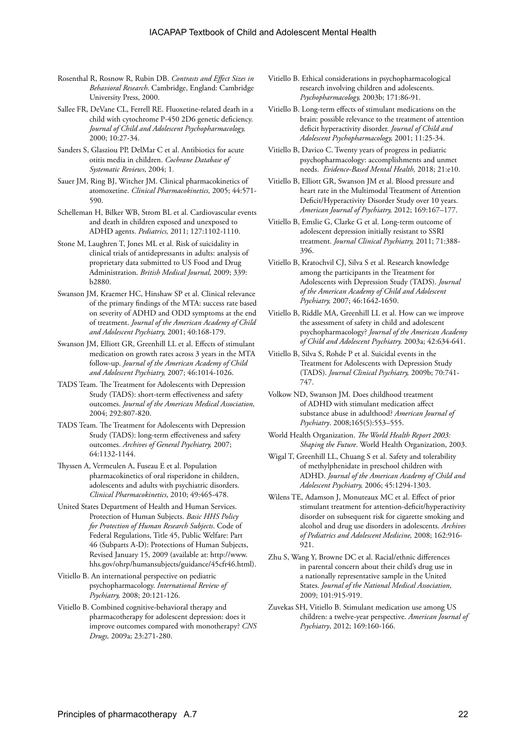- Rosenthal R, Rosnow R, Rubin DB. *Contrasts and Effect Sizes in Behavioral Research*. Cambridge, England: Cambridge University Press, 2000.
- Sallee FR, DeVane CL, Ferrell RE. Fluoxetine-related death in a child with cytochrome P-450 2D6 genetic deficiency. *Journal of Child and Adolescent Psychopharmacology,*  2000; 10:27-34.
- Sanders S, Glasziou PP, DelMar C et al. Antibiotics for acute otitis media in children. *Cochrane Database of Systematic Reviews*, 2004; 1.
- Sauer JM, Ring BJ, Witcher JM. Clinical pharmacokinetics of atomoxetine. *Clinical Pharmacokinetics,* 2005; 44:571- 590.
- Schelleman H, Bilker WB, Strom BL et al. Cardiovascular events and death in children exposed and unexposed to ADHD agents. *Pediatrics,* 2011; 127:1102-1110.
- Stone M, Laughren T, Jones ML et al. Risk of suicidality in clinical trials of antidepressants in adults: analysis of proprietary data submitted to US Food and Drug Administration. *British Medical Journal,* 2009; 339: b2880.
- Swanson JM, Kraemer HC, Hinshaw SP et al. Clinical relevance of the primary findings of the MTA: success rate based on severity of ADHD and ODD symptoms at the end of treatment. *Journal of the American Academy of Child and Adolescent Psychiatry,* 2001; 40:168-179.
- Swanson JM, Elliott GR, Greenhill LL et al. Effects of stimulant medication on growth rates across 3 years in the MTA follow-up. *Journal of the American Academy of Child and Adolescent Psychiatry,* 2007; 46:1014-1026.
- TADS Team. The Treatment for Adolescents with Depression Study (TADS): short-term effectiveness and safety outcomes. *Journal of the American Medical Association,*  2004; 292:807-820.
- TADS Team. The Treatment for Adolescents with Depression Study (TADS): long-term effectiveness and safety outcomes. *Archives of General Psychiatry,* 2007; 64:1132-1144.
- Thyssen A, Vermeulen A, Fuseau E et al. Population pharmacokinetics of oral risperidone in children, adolescents and adults with psychiatric disorders. *Clinical Pharmacokinetics*, 2010; 49:465-478.
- United States Department of Health and Human Services. Protection of Human Subjects. *Basic HHS Policy for Protection of Human Research Subjects*. Code of Federal Regulations, Title 45, Public Welfare: Part 46 (Subparts A-D): Protections of Human Subjects, Revised January 15, 2009 (available at: http://www. hhs.gov/ohrp/humansubjects/guidance/45cfr46.html).
- Vitiello B. An international perspective on pediatric psychopharmacology. *International Review of Psychiatry,* 2008; 20:121-126.
- Vitiello B. Combined cognitive-behavioral therapy and pharmacotherapy for adolescent depression: does it improve outcomes compared with monotherapy? *CNS Drugs,* 2009a; 23:271-280.
- Vitiello B. Ethical considerations in psychopharmacological research involving children and adolescents. *Psychopharmacology,* 2003b; 171:86-91.
- Vitiello B. Long-term effects of stimulant medications on the brain: possible relevance to the treatment of attention deficit hyperactivity disorder. *Journal of Child and Adolescent Psychopharmacology,* 2001; 11:25-34.
- Vitiello B, Davico C. Twenty years of progress in pediatric psychopharmacology: accomplishments and unmet needs. *Evidence-Based Mental Health,* 2018; 21:e10.
- Vitiello B, Elliott GR, Swanson JM et al. Blood pressure and heart rate in the Multimodal Treatment of Attention Deficit/Hyperactivity Disorder Study over 10 years. *American Journal of Psychiatry,* 2012; 169:167–177.
- Vitiello B, Emslie G, Clarke G et al. Long-term outcome of adolescent depression initially resistant to SSRI treatment. *Journal Clinical Psychiatry,* 2011; 71:388- 396.
- Vitiello B, Kratochvil CJ, Silva S et al. Research knowledge among the participants in the Treatment for Adolescents with Depression Study (TADS). *Journal of the American Academy of Child and Adolescent Psychiatry,* 2007; 46:1642-1650.
- Vitiello B, Riddle MA, Greenhill LL et al. How can we improve the assessment of safety in child and adolescent psychopharmacology? *Journal of the American Academy of Child and Adolescent Psychiatry.* 2003a; 42:634-641.
- Vitiello B, Silva S, Rohde P et al. Suicidal events in the Treatment for Adolescents with Depression Study (TADS). *Journal Clinical Psychiatry,* 2009b; 70:741- 747.
- Volkow ND, Swanson JM. Does childhood treatment of ADHD with stimulant medication affect substance abuse in adulthood? *American Journal of Psychiatry*. 2008;165(5):553–555.
- World Health Organization. *The World Health Report 2003: Shaping the Future*. World Health Organization, 2003.
- Wigal T, Greenhill LL, Chuang S et al. Safety and tolerability of methylphenidate in preschool children with ADHD. *Journal of the American Academy of Child and Adolescent Psychiatry,* 2006; 45:1294-1303.
- Wilens TE, Adamson J, Monuteaux MC et al. Effect of prior stimulant treatment for attention-deficit/hyperactivity disorder on subsequent risk for cigarette smoking and alcohol and drug use disorders in adolescents. *Archives of Pediatrics and Adolescent Medicine,* 2008; 162:916- 921.
- Zhu S, Wang Y, Browne DC et al. Racial/ethnic differences in parental concern about their child's drug use in a nationally representative sample in the United States. *Journal of the National Medical Association*, 2009; 101:915-919.
- Zuvekas SH, Vitiello B. Stimulant medication use among US children: a twelve-year perspective. *American Journal of Psychiatry*, 2012; 169:160-166.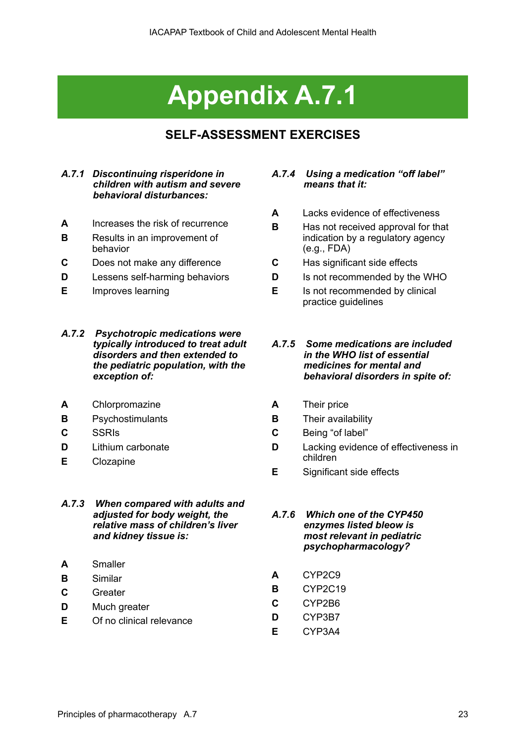# **Appendix A.7.1**

# **SELF-ASSESSMENT EXERCISES**

# *A.7.1 Discontinuing risperidone in children with autism and severe behavioral disturbances:*

- **A** Increases the risk of recurrence
- **B** Results in an improvement of behavior
- **C** Does not make any difference
- **D** Lessens self-harming behaviors
- **E** Improves learning
- *A.7.2 Psychotropic medications were typically introduced to treat adult disorders and then extended to the pediatric population, with the exception of:*
- **A** Chlorpromazine
- **B** Psychostimulants
- **C** SSRIs
- **D** Lithium carbonate
- **E** Clozapine

### *A.7.3 When compared with adults and adjusted for body weight, the relative mass of children's liver and kidney tissue is:*

- **A** Smaller
- **B** Similar
- **C** Greater
- **D** Much greater
- **E** Of no clinical relevance

# *A.7.4 Using a medication "off label" means that it:*

- **A** Lacks evidence of effectiveness
- **B** Has not received approval for that indication by a regulatory agency (e.g., FDA)
- **C** Has significant side effects
- **D** Is not recommended by the WHO
- **E** Is not recommended by clinical practice guidelines

### *A.7.5 Some medications are included in the WHO list of essential medicines for mental and behavioral disorders in spite of:*

- **A** Their price
- **B** Their availability
- **C** Being "of label"
- **D** Lacking evidence of effectiveness in children
- **E** Significant side effects
- *A.7.6 Which one of the CYP450 enzymes listed bleow is most relevant in pediatric psychopharmacology?*
- **A** CYP2C9
- **B** CYP2C19
- **C** CYP2B6
- **D** CYP3B7
- **E** CYP3A4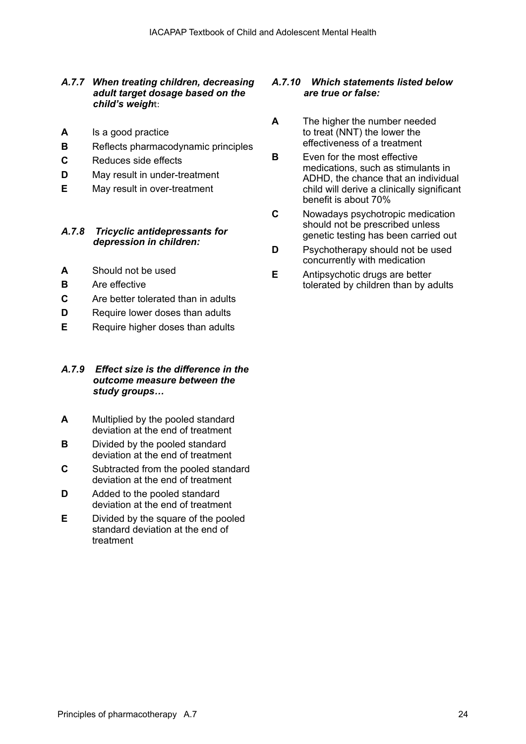# *A.7.7 When treating children, decreasing adult target dosage based on the child's weigh*t:

- **A** Is a good practice
- **B** Reflects pharmacodynamic principles
- **C** Reduces side effects
- **D** May result in under-treatment
- **E** May result in over-treatment

## *A.7.8 Tricyclic antidepressants for depression in children:*

- **A** Should not be used
- **B** Are effective
- **C** Are better tolerated than in adults
- **D** Require lower doses than adults
- **E** Require higher doses than adults

### *A.7.9 Effect size is the difference in the outcome measure between the study groups…*

- **A** Multiplied by the pooled standard deviation at the end of treatment
- **B** Divided by the pooled standard deviation at the end of treatment
- **C** Subtracted from the pooled standard deviation at the end of treatment
- **D** Added to the pooled standard deviation at the end of treatment
- **E** Divided by the square of the pooled standard deviation at the end of treatment

# *A.7.10 Which statements listed below are true or false:*

- **A** The higher the number needed to treat (NNT) the lower the effectiveness of a treatment
- **B** Even for the most effective medications, such as stimulants in ADHD, the chance that an individual child will derive a clinically significant benefit is about 70%
- **C** Nowadays psychotropic medication should not be prescribed unless genetic testing has been carried out
- **D** Psychotherapy should not be used concurrently with medication
- **E** Antipsychotic drugs are better tolerated by children than by adults